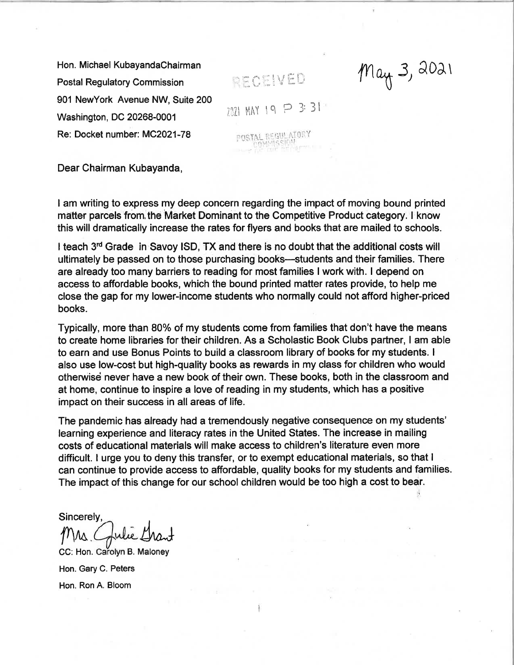Hon. Michael KubayandaChairman Postal Regulatory Commission 901 NewYork Avenue NW, Suite 200 Washington, DC 20268-0001 Re: Docket number: MC2O21-78

IECEIVED  $2021$  MAY 19  $P$  3:31 POSTAL REGULATORY

 $mu_{\text{th}}$  3, 2021

Dear Chairman Kubayanda,

I am writing to express my deep concern regarding the impact of moving bound printed matter parcels from the Market Dominant to the Competitive Product category. I know this will dramatically increase the rates for flyers and books that are mailed to schools.

I teach  $3<sup>rd</sup>$  Grade in Savoy ISD, TX and there is no doubt that the additional costs will ultimately be passed on to those purchasing books—students and their families. There are already too many barriers to reading for most families I work with. I depend on access to affordable books, which the bound printed matter rates provide, to help me close the gap for my lower-income students who normally could not afford higher-priced books.

Typically, more than 80% of my students come from families that don't have the means to create home libraries for their children. As a Scholastic Book Clubs partner, I am able to earn and use Bonus Points to build a classroom library of books for my students. <sup>I</sup> also use low-cost but high-quality books as rewards in my class for children who would otherwisé never have a new book of their own. These books, both in the classroom and at home, continue to inspire a love of reading in my students, which has a positive impact on their success in all areas of life.

The pandemic has already had a tremendously negative consequence on my students' learning experience and literacy rates in the United States. The increase in mailing costs of educational materials will make access to children's literature even more difficult. I urge you to deny this transfer, or to exempt educational materials, so that <sup>I</sup> can continue to provide access to affordable, quality books for my students and families. The impact of this change for our school children would be too high a cost to bear.

Sincerely, Sincerely,<br>Mrs. Gulie Gran

CC: Hon. Carolyn B. Maloney Hon. Gary C. Peters Hon. Ron A, Bloom